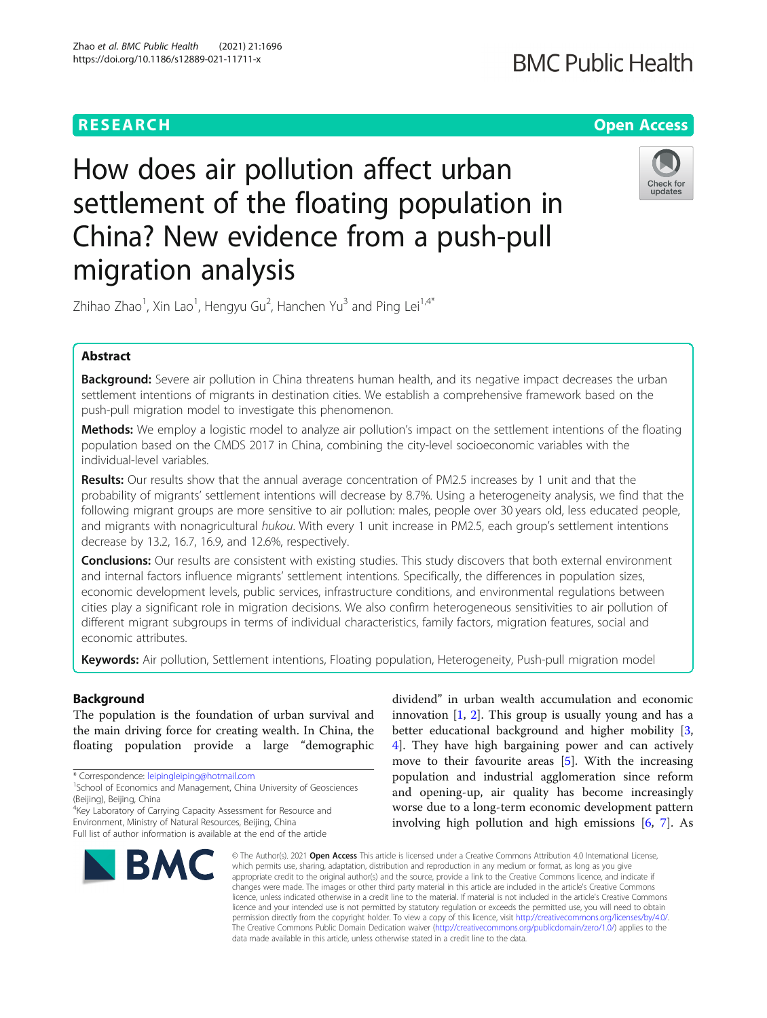# **BMC Public Health**

# **RESEARCH CHE Open Access**

# How does air pollution affect urban settlement of the floating population in China? New evidence from a push-pull migration analysis



Zhihao Zhao $^1$ , Xin Lao $^1$ , Hengyu Gu $^2$ , Hanchen Yu $^3$  and Ping Lei $^{1,4^*}$ 

## Abstract

Background: Severe air pollution in China threatens human health, and its negative impact decreases the urban settlement intentions of migrants in destination cities. We establish a comprehensive framework based on the push-pull migration model to investigate this phenomenon.

**Methods:** We employ a logistic model to analyze air pollution's impact on the settlement intentions of the floating population based on the CMDS 2017 in China, combining the city-level socioeconomic variables with the individual-level variables.

**Results:** Our results show that the annual average concentration of PM2.5 increases by 1 unit and that the probability of migrants' settlement intentions will decrease by 8.7%. Using a heterogeneity analysis, we find that the following migrant groups are more sensitive to air pollution: males, people over 30 years old, less educated people, and migrants with nonagricultural hukou. With every 1 unit increase in PM2.5, each group's settlement intentions decrease by 13.2, 16.7, 16.9, and 12.6%, respectively.

Conclusions: Our results are consistent with existing studies. This study discovers that both external environment and internal factors influence migrants' settlement intentions. Specifically, the differences in population sizes, economic development levels, public services, infrastructure conditions, and environmental regulations between cities play a significant role in migration decisions. We also confirm heterogeneous sensitivities to air pollution of different migrant subgroups in terms of individual characteristics, family factors, migration features, social and economic attributes.

Keywords: Air pollution, Settlement intentions, Floating population, Heterogeneity, Push-pull migration model

# Background

The population is the foundation of urban survival and the main driving force for creating wealth. In China, the floating population provide a large "demographic

\* Correspondence: [leipingleiping@hotmail.com](mailto:leipingleiping@hotmail.com) <sup>1</sup>

4 Key Laboratory of Carrying Capacity Assessment for Resource and

Environment, Ministry of Natural Resources, Beijing, China Full list of author information is available at the end of the article



dividend" in urban wealth accumulation and economic innovation  $[1, 2]$  $[1, 2]$  $[1, 2]$  $[1, 2]$ . This group is usually young and has a better educational background and higher mobility [\[3](#page-13-0), [4\]](#page-13-0). They have high bargaining power and can actively move to their favourite areas [[5](#page-13-0)]. With the increasing population and industrial agglomeration since reform and opening-up, air quality has become increasingly worse due to a long-term economic development pattern involving high pollution and high emissions [\[6,](#page-13-0) [7\]](#page-13-0). As

© The Author(s), 2021 **Open Access** This article is licensed under a Creative Commons Attribution 4.0 International License, which permits use, sharing, adaptation, distribution and reproduction in any medium or format, as long as you give appropriate credit to the original author(s) and the source, provide a link to the Creative Commons licence, and indicate if changes were made. The images or other third party material in this article are included in the article's Creative Commons licence, unless indicated otherwise in a credit line to the material. If material is not included in the article's Creative Commons licence and your intended use is not permitted by statutory regulation or exceeds the permitted use, you will need to obtain permission directly from the copyright holder. To view a copy of this licence, visit [http://creativecommons.org/licenses/by/4.0/.](http://creativecommons.org/licenses/by/4.0/) The Creative Commons Public Domain Dedication waiver [\(http://creativecommons.org/publicdomain/zero/1.0/](http://creativecommons.org/publicdomain/zero/1.0/)) applies to the data made available in this article, unless otherwise stated in a credit line to the data.

<sup>&</sup>lt;sup>1</sup>School of Economics and Management, China University of Geosciences (Beijing), Beijing, China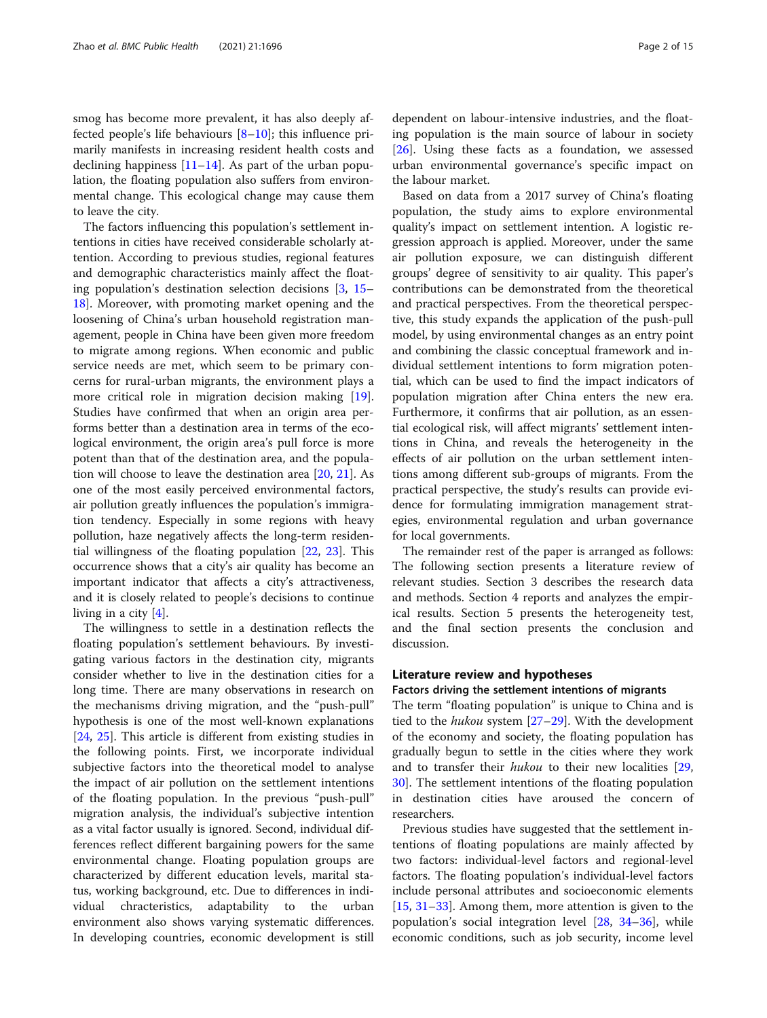smog has become more prevalent, it has also deeply affected people's life behaviours  $[8-10]$  $[8-10]$  $[8-10]$ ; this influence primarily manifests in increasing resident health costs and declining happiness  $[11–14]$  $[11–14]$  $[11–14]$  $[11–14]$  $[11–14]$ . As part of the urban population, the floating population also suffers from environmental change. This ecological change may cause them to leave the city.

The factors influencing this population's settlement intentions in cities have received considerable scholarly attention. According to previous studies, regional features and demographic characteristics mainly affect the floating population's destination selection decisions [\[3](#page-13-0), [15](#page-13-0)– [18\]](#page-13-0). Moreover, with promoting market opening and the loosening of China's urban household registration management, people in China have been given more freedom to migrate among regions. When economic and public service needs are met, which seem to be primary concerns for rural-urban migrants, the environment plays a more critical role in migration decision making [\[19](#page-13-0)]. Studies have confirmed that when an origin area performs better than a destination area in terms of the ecological environment, the origin area's pull force is more potent than that of the destination area, and the population will choose to leave the destination area [[20](#page-13-0), [21](#page-13-0)]. As one of the most easily perceived environmental factors, air pollution greatly influences the population's immigration tendency. Especially in some regions with heavy pollution, haze negatively affects the long-term residential willingness of the floating population [\[22,](#page-13-0) [23\]](#page-13-0). This occurrence shows that a city's air quality has become an important indicator that affects a city's attractiveness, and it is closely related to people's decisions to continue living in a city [[4\]](#page-13-0).

The willingness to settle in a destination reflects the floating population's settlement behaviours. By investigating various factors in the destination city, migrants consider whether to live in the destination cities for a long time. There are many observations in research on the mechanisms driving migration, and the "push-pull" hypothesis is one of the most well-known explanations [[24,](#page-13-0) [25](#page-13-0)]. This article is different from existing studies in the following points. First, we incorporate individual subjective factors into the theoretical model to analyse the impact of air pollution on the settlement intentions of the floating population. In the previous "push-pull" migration analysis, the individual's subjective intention as a vital factor usually is ignored. Second, individual differences reflect different bargaining powers for the same environmental change. Floating population groups are characterized by different education levels, marital status, working background, etc. Due to differences in individual chracteristics, adaptability to the urban environment also shows varying systematic differences. In developing countries, economic development is still

dependent on labour-intensive industries, and the floating population is the main source of labour in society [[26\]](#page-13-0). Using these facts as a foundation, we assessed urban environmental governance's specific impact on the labour market.

Based on data from a 2017 survey of China's floating population, the study aims to explore environmental quality's impact on settlement intention. A logistic regression approach is applied. Moreover, under the same air pollution exposure, we can distinguish different groups' degree of sensitivity to air quality. This paper's contributions can be demonstrated from the theoretical and practical perspectives. From the theoretical perspective, this study expands the application of the push-pull model, by using environmental changes as an entry point and combining the classic conceptual framework and individual settlement intentions to form migration potential, which can be used to find the impact indicators of population migration after China enters the new era. Furthermore, it confirms that air pollution, as an essential ecological risk, will affect migrants' settlement intentions in China, and reveals the heterogeneity in the effects of air pollution on the urban settlement intentions among different sub-groups of migrants. From the practical perspective, the study's results can provide evidence for formulating immigration management strategies, environmental regulation and urban governance for local governments.

The remainder rest of the paper is arranged as follows: The following section presents a literature review of relevant studies. Section 3 describes the research data and methods. Section 4 reports and analyzes the empirical results. Section 5 presents the heterogeneity test, and the final section presents the conclusion and discussion.

#### Literature review and hypotheses

## Factors driving the settlement intentions of migrants

The term "floating population" is unique to China and is tied to the hukou system [\[27](#page-13-0)-[29\]](#page-13-0). With the development of the economy and society, the floating population has gradually begun to settle in the cities where they work and to transfer their hukou to their new localities [[29](#page-13-0), [30\]](#page-13-0). The settlement intentions of the floating population in destination cities have aroused the concern of researchers.

Previous studies have suggested that the settlement intentions of floating populations are mainly affected by two factors: individual-level factors and regional-level factors. The floating population's individual-level factors include personal attributes and socioeconomic elements [[15,](#page-13-0) [31](#page-13-0)–[33](#page-13-0)]. Among them, more attention is given to the population's social integration level [[28,](#page-13-0) [34](#page-13-0)–[36](#page-13-0)], while economic conditions, such as job security, income level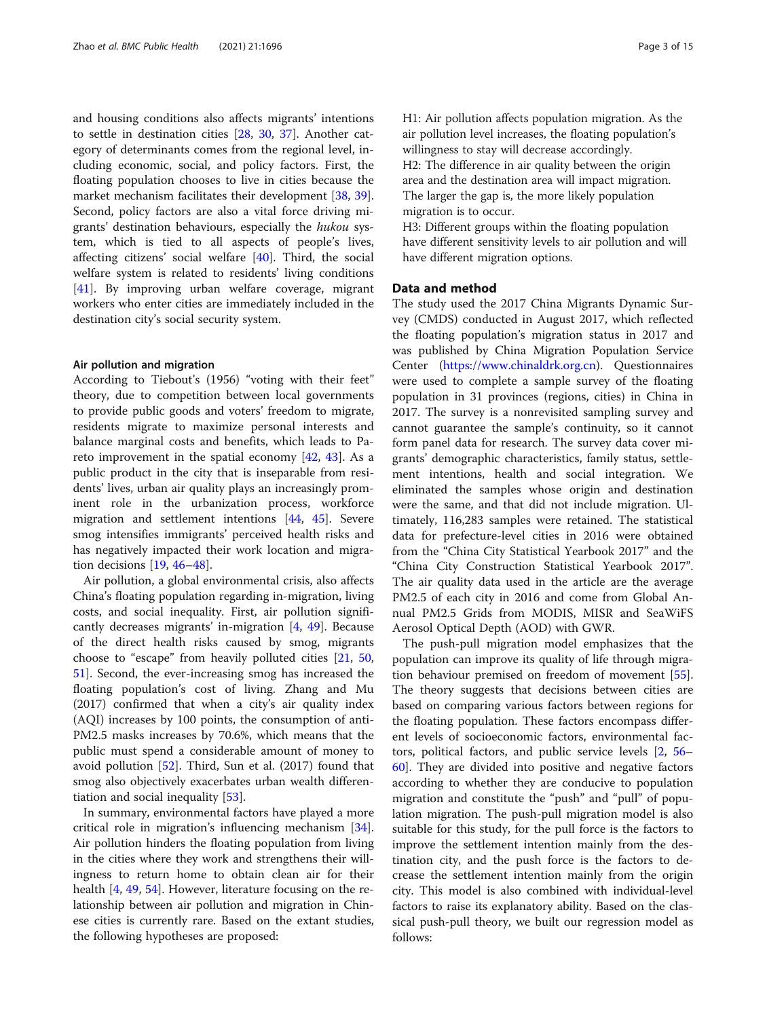and housing conditions also affects migrants' intentions to settle in destination cities [[28,](#page-13-0) [30,](#page-13-0) [37](#page-13-0)]. Another category of determinants comes from the regional level, including economic, social, and policy factors. First, the floating population chooses to live in cities because the market mechanism facilitates their development [\[38](#page-13-0), [39](#page-13-0)]. Second, policy factors are also a vital force driving migrants' destination behaviours, especially the hukou system, which is tied to all aspects of people's lives, affecting citizens' social welfare [\[40](#page-13-0)]. Third, the social welfare system is related to residents' living conditions [[41\]](#page-13-0). By improving urban welfare coverage, migrant workers who enter cities are immediately included in the destination city's social security system.

#### Air pollution and migration

According to Tiebout's (1956) "voting with their feet" theory, due to competition between local governments to provide public goods and voters' freedom to migrate, residents migrate to maximize personal interests and balance marginal costs and benefits, which leads to Pareto improvement in the spatial economy [\[42](#page-13-0), [43\]](#page-13-0). As a public product in the city that is inseparable from residents' lives, urban air quality plays an increasingly prominent role in the urbanization process, workforce migration and settlement intentions [\[44,](#page-13-0) [45](#page-13-0)]. Severe smog intensifies immigrants' perceived health risks and has negatively impacted their work location and migration decisions [\[19](#page-13-0), [46](#page-13-0)–[48\]](#page-14-0).

Air pollution, a global environmental crisis, also affects China's floating population regarding in-migration, living costs, and social inequality. First, air pollution significantly decreases migrants' in-migration [[4,](#page-13-0) [49\]](#page-14-0). Because of the direct health risks caused by smog, migrants choose to "escape" from heavily polluted cities [\[21](#page-13-0), [50](#page-14-0), [51\]](#page-14-0). Second, the ever-increasing smog has increased the floating population's cost of living. Zhang and Mu (2017) confirmed that when a city's air quality index (AQI) increases by 100 points, the consumption of anti-PM2.5 masks increases by 70.6%, which means that the public must spend a considerable amount of money to avoid pollution [[52\]](#page-14-0). Third, Sun et al. (2017) found that smog also objectively exacerbates urban wealth differentiation and social inequality [[53\]](#page-14-0).

In summary, environmental factors have played a more critical role in migration's influencing mechanism [\[34](#page-13-0)]. Air pollution hinders the floating population from living in the cities where they work and strengthens their willingness to return home to obtain clean air for their health [[4,](#page-13-0) [49,](#page-14-0) [54\]](#page-14-0). However, literature focusing on the relationship between air pollution and migration in Chinese cities is currently rare. Based on the extant studies, the following hypotheses are proposed:

H1: Air pollution affects population migration. As the air pollution level increases, the floating population's willingness to stay will decrease accordingly. H2: The difference in air quality between the origin area and the destination area will impact migration. The larger the gap is, the more likely population migration is to occur.

H3: Different groups within the floating population have different sensitivity levels to air pollution and will have different migration options.

### Data and method

The study used the 2017 China Migrants Dynamic Survey (CMDS) conducted in August 2017, which reflected the floating population's migration status in 2017 and was published by China Migration Population Service Center [\(https://www.chinaldrk.org.cn\)](https://www.chinaldrk.org.cn). Questionnaires were used to complete a sample survey of the floating population in 31 provinces (regions, cities) in China in 2017. The survey is a nonrevisited sampling survey and cannot guarantee the sample's continuity, so it cannot form panel data for research. The survey data cover migrants' demographic characteristics, family status, settlement intentions, health and social integration. We eliminated the samples whose origin and destination were the same, and that did not include migration. Ultimately, 116,283 samples were retained. The statistical data for prefecture-level cities in 2016 were obtained from the "China City Statistical Yearbook 2017" and the "China City Construction Statistical Yearbook 2017". The air quality data used in the article are the average PM2.5 of each city in 2016 and come from Global Annual PM2.5 Grids from MODIS, MISR and SeaWiFS Aerosol Optical Depth (AOD) with GWR.

The push-pull migration model emphasizes that the population can improve its quality of life through migration behaviour premised on freedom of movement [\[55](#page-14-0)]. The theory suggests that decisions between cities are based on comparing various factors between regions for the floating population. These factors encompass different levels of socioeconomic factors, environmental factors, political factors, and public service levels [\[2,](#page-13-0) [56](#page-14-0)– [60\]](#page-14-0). They are divided into positive and negative factors according to whether they are conducive to population migration and constitute the "push" and "pull" of population migration. The push-pull migration model is also suitable for this study, for the pull force is the factors to improve the settlement intention mainly from the destination city, and the push force is the factors to decrease the settlement intention mainly from the origin city. This model is also combined with individual-level factors to raise its explanatory ability. Based on the classical push-pull theory, we built our regression model as follows: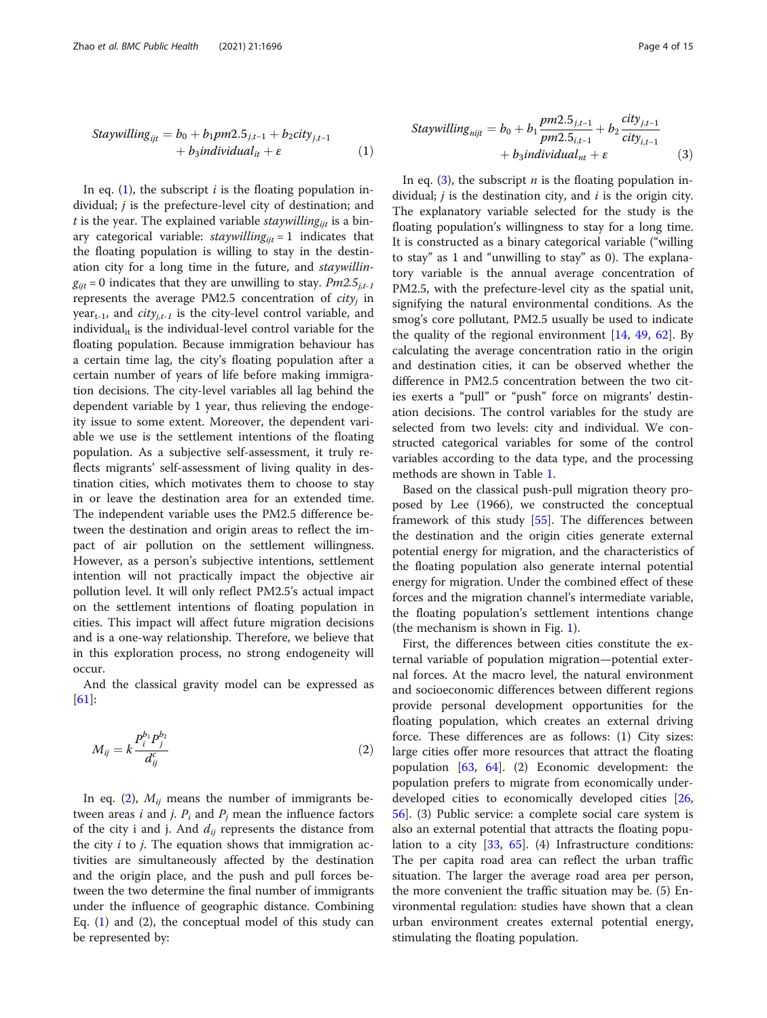$$
Staywilling_{ijt} = b_0 + b_1pm2.5_{j,t-1} + b_2city_{j,t-1} + b_3individual_{it} + \varepsilon
$$
 (1)

In eq.  $(1)$ , the subscript *i* is the floating population individual; *j* is the prefecture-level city of destination; and t is the year. The explained variable *staywilling<sub>ijt</sub>* is a binary categorical variable:  $stay$ *willing<sub>iit</sub>* = 1 indicates that the floating population is willing to stay in the destination city for a long time in the future, and staywillin $g_{ii\textit{t}} = 0$  indicates that they are unwilling to stay.  $Pm2.5_{i,t-1}$ represents the average PM2.5 concentration of  $city<sub>j</sub>$  in year<sub>t-1</sub>, and *city<sub>i,t-1</sub>* is the city-level control variable, and individual $_{it}$  is the individual-level control variable for the floating population. Because immigration behaviour has a certain time lag, the city's floating population after a certain number of years of life before making immigration decisions. The city-level variables all lag behind the dependent variable by 1 year, thus relieving the endogeity issue to some extent. Moreover, the dependent variable we use is the settlement intentions of the floating population. As a subjective self-assessment, it truly reflects migrants' self-assessment of living quality in destination cities, which motivates them to choose to stay in or leave the destination area for an extended time. The independent variable uses the PM2.5 difference between the destination and origin areas to reflect the impact of air pollution on the settlement willingness. However, as a person's subjective intentions, settlement intention will not practically impact the objective air pollution level. It will only reflect PM2.5's actual impact on the settlement intentions of floating population in cities. This impact will affect future migration decisions and is a one-way relationship. Therefore, we believe that in this exploration process, no strong endogeneity will occur.

And the classical gravity model can be expressed as [[61\]](#page-14-0):

$$
M_{ij} = k \frac{P_i^{b_1} P_j^{b_2}}{d_{ij}^c}
$$
 (2)

In eq. (2),  $M_{ij}$  means the number of immigrants between areas *i* and *j*.  $P_i$  and  $P_j$  mean the influence factors of the city i and j. And  $d_{ij}$  represents the distance from the city  $i$  to  $j$ . The equation shows that immigration activities are simultaneously affected by the destination and the origin place, and the push and pull forces between the two determine the final number of immigrants under the influence of geographic distance. Combining Eq.  $(1)$  and  $(2)$ , the conceptual model of this study can be represented by:

$$
Staywilling_{nijt} = b_0 + b_1 \frac{pm2.5_{j,t-1}}{pm2.5_{i,t-1}} + b_2 \frac{city_{j,t-1}}{city_{i,t-1}} + b_3 individual_{nt} + \varepsilon
$$
\n(3)

In eq. (3), the subscript  $n$  is the floating population individual;  $j$  is the destination city, and  $i$  is the origin city. The explanatory variable selected for the study is the floating population's willingness to stay for a long time. It is constructed as a binary categorical variable ("willing to stay" as 1 and "unwilling to stay" as 0). The explanatory variable is the annual average concentration of PM2.5, with the prefecture-level city as the spatial unit, signifying the natural environmental conditions. As the smog's core pollutant, PM2.5 usually be used to indicate the quality of the regional environment  $[14, 49, 62]$  $[14, 49, 62]$  $[14, 49, 62]$  $[14, 49, 62]$  $[14, 49, 62]$  $[14, 49, 62]$  $[14, 49, 62]$ . By calculating the average concentration ratio in the origin and destination cities, it can be observed whether the difference in PM2.5 concentration between the two cities exerts a "pull" or "push" force on migrants' destination decisions. The control variables for the study are selected from two levels: city and individual. We constructed categorical variables for some of the control variables according to the data type, and the processing methods are shown in Table [1](#page-4-0).

Based on the classical push-pull migration theory proposed by Lee (1966), we constructed the conceptual framework of this study [\[55](#page-14-0)]. The differences between the destination and the origin cities generate external potential energy for migration, and the characteristics of the floating population also generate internal potential energy for migration. Under the combined effect of these forces and the migration channel's intermediate variable, the floating population's settlement intentions change (the mechanism is shown in Fig. [1](#page-5-0)).

First, the differences between cities constitute the external variable of population migration—potential external forces. At the macro level, the natural environment and socioeconomic differences between different regions provide personal development opportunities for the floating population, which creates an external driving force. These differences are as follows: (1) City sizes: large cities offer more resources that attract the floating population [[63](#page-14-0), [64](#page-14-0)]. (2) Economic development: the population prefers to migrate from economically underdeveloped cities to economically developed cities [[26](#page-13-0), [56\]](#page-14-0). (3) Public service: a complete social care system is also an external potential that attracts the floating population to a city [[33](#page-13-0), [65](#page-14-0)]. (4) Infrastructure conditions: The per capita road area can reflect the urban traffic situation. The larger the average road area per person, the more convenient the traffic situation may be. (5) Environmental regulation: studies have shown that a clean urban environment creates external potential energy, stimulating the floating population.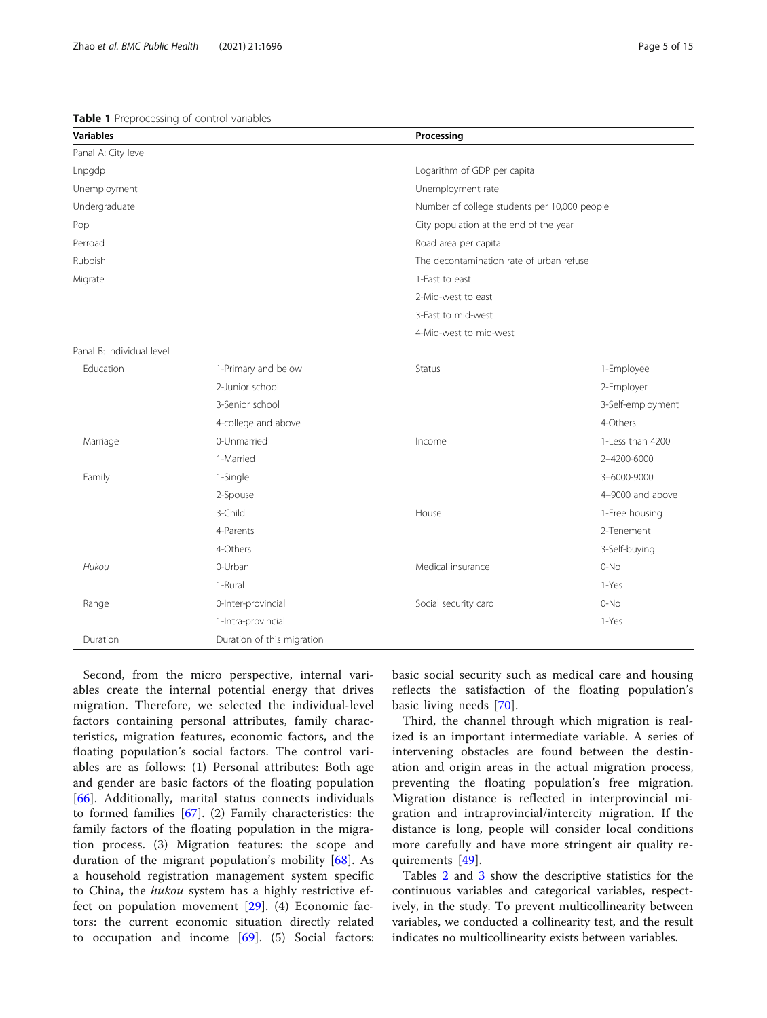| Page 5 of |  |
|-----------|--|
|           |  |
|           |  |

<span id="page-4-0"></span>

| <b>Variables</b>          |                            | Processing                                   |                   |
|---------------------------|----------------------------|----------------------------------------------|-------------------|
| Panal A: City level       |                            |                                              |                   |
| Lnpgdp                    |                            | Logarithm of GDP per capita                  |                   |
| Unemployment              |                            | Unemployment rate                            |                   |
| Undergraduate             |                            | Number of college students per 10,000 people |                   |
| Pop                       |                            | City population at the end of the year       |                   |
| Perroad                   |                            | Road area per capita                         |                   |
| Rubbish                   |                            | The decontamination rate of urban refuse     |                   |
| Migrate                   |                            | 1-East to east                               |                   |
|                           |                            | 2-Mid-west to east                           |                   |
|                           |                            | 3-East to mid-west                           |                   |
|                           |                            | 4-Mid-west to mid-west                       |                   |
| Panal B: Individual level |                            |                                              |                   |
| Education                 | 1-Primary and below        | Status                                       | 1-Employee        |
|                           | 2-Junior school            |                                              | 2-Employer        |
|                           | 3-Senior school            |                                              | 3-Self-employment |
|                           | 4-college and above        |                                              | 4-Others          |
| Marriage                  | 0-Unmarried                | Income                                       | 1-Less than 4200  |
|                           | 1-Married                  |                                              | 2-4200-6000       |
| Family                    | 1-Single                   |                                              | 3-6000-9000       |
|                           | 2-Spouse                   |                                              | 4-9000 and above  |
|                           | 3-Child                    | House                                        | 1-Free housing    |
|                           | 4-Parents                  |                                              | 2-Tenement        |
|                           | 4-Others                   |                                              | 3-Self-buying     |
| Hukou                     | 0-Urban                    | Medical insurance                            | $0-NO$            |
|                           | 1-Rural                    |                                              | 1-Yes             |
| Range                     | 0-Inter-provincial         | Social security card                         | $0-NO$            |
|                           | 1-Intra-provincial         |                                              | 1-Yes             |
| Duration                  | Duration of this migration |                                              |                   |

Second, from the micro perspective, internal variables create the internal potential energy that drives migration. Therefore, we selected the individual-level factors containing personal attributes, family characteristics, migration features, economic factors, and the floating population's social factors. The control variables are as follows: (1) Personal attributes: Both age and gender are basic factors of the floating population [[66\]](#page-14-0). Additionally, marital status connects individuals to formed families [[67\]](#page-14-0). (2) Family characteristics: the family factors of the floating population in the migration process. (3) Migration features: the scope and duration of the migrant population's mobility [[68](#page-14-0)]. As a household registration management system specific to China, the hukou system has a highly restrictive effect on population movement [[29](#page-13-0)]. (4) Economic factors: the current economic situation directly related to occupation and income [[69](#page-14-0)]. (5) Social factors:

basic social security such as medical care and housing reflects the satisfaction of the floating population's basic living needs [[70\]](#page-14-0).

Third, the channel through which migration is realized is an important intermediate variable. A series of intervening obstacles are found between the destination and origin areas in the actual migration process, preventing the floating population's free migration. Migration distance is reflected in interprovincial migration and intraprovincial/intercity migration. If the distance is long, people will consider local conditions more carefully and have more stringent air quality requirements [[49\]](#page-14-0).

Tables [2](#page-5-0) and [3](#page-6-0) show the descriptive statistics for the continuous variables and categorical variables, respectively, in the study. To prevent multicollinearity between variables, we conducted a collinearity test, and the result indicates no multicollinearity exists between variables.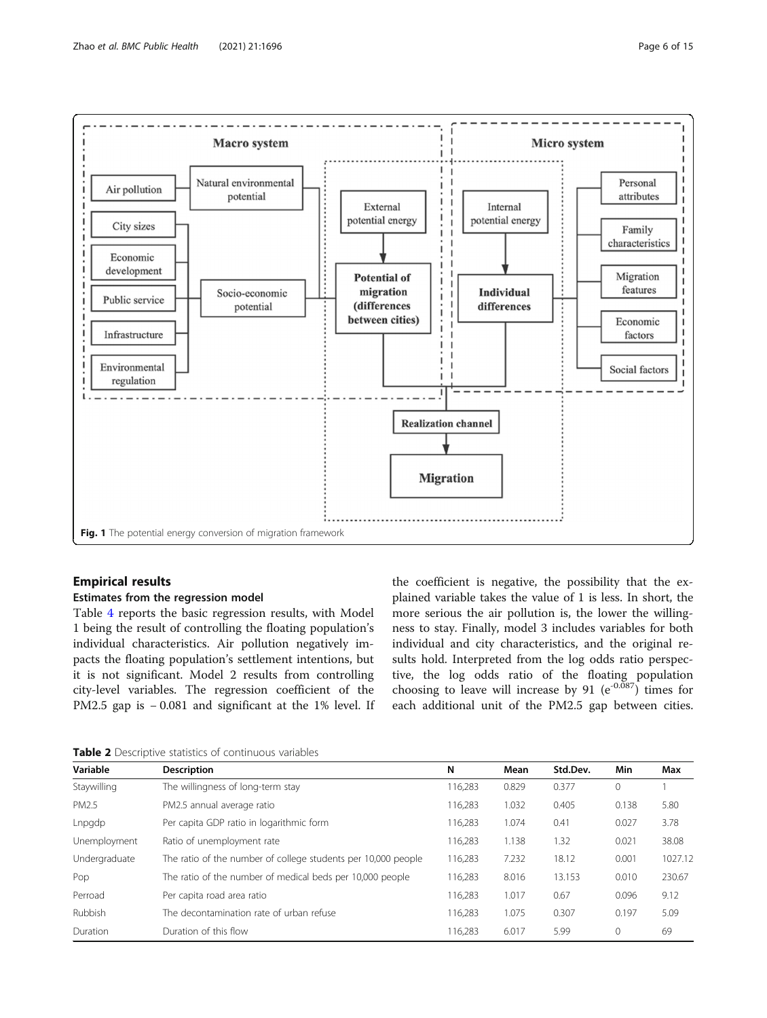<span id="page-5-0"></span>

## Empirical results

#### Estimates from the regression model

Table [4](#page-7-0) reports the basic regression results, with Model 1 being the result of controlling the floating population's individual characteristics. Air pollution negatively impacts the floating population's settlement intentions, but it is not significant. Model 2 results from controlling city-level variables. The regression coefficient of the PM2.5 gap is − 0.081 and significant at the 1% level. If the coefficient is negative, the possibility that the explained variable takes the value of 1 is less. In short, the more serious the air pollution is, the lower the willingness to stay. Finally, model 3 includes variables for both individual and city characteristics, and the original results hold. Interpreted from the log odds ratio perspective, the log odds ratio of the floating population choosing to leave will increase by 91 ( $e^{-0.087}$ ) times for each additional unit of the PM2.5 gap between cities.

Table 2 Descriptive statistics of continuous variables

| Variable      | <b>Description</b>                                            | N       | Mean  | Std.Dev. | Min   | Max     |
|---------------|---------------------------------------------------------------|---------|-------|----------|-------|---------|
| Staywilling   | The willingness of long-term stay                             | 116,283 | 0.829 | 0.377    | 0     |         |
| PM2.5         | PM2.5 annual average ratio                                    | 116,283 | 1.032 | 0.405    | 0.138 | 5.80    |
| Lnpgdp        | Per capita GDP ratio in logarithmic form                      | 116,283 | 1.074 | 0.41     | 0.027 | 3.78    |
| Unemployment  | Ratio of unemployment rate                                    | 116,283 | 1.138 | 1.32     | 0.021 | 38.08   |
| Undergraduate | The ratio of the number of college students per 10,000 people | 116,283 | 7.232 | 18.12    | 0.001 | 1027.12 |
| Pop           | The ratio of the number of medical beds per 10,000 people     | 116,283 | 8.016 | 13.153   | 0.010 | 230.67  |
| Perroad       | Per capita road area ratio                                    | 116,283 | 1.017 | 0.67     | 0.096 | 9.12    |
| Rubbish       | The decontamination rate of urban refuse                      | 116.283 | 1.075 | 0.307    | 0.197 | 5.09    |
| Duration      | Duration of this flow                                         | 116.283 | 6.017 | 5.99     | 0     | 69      |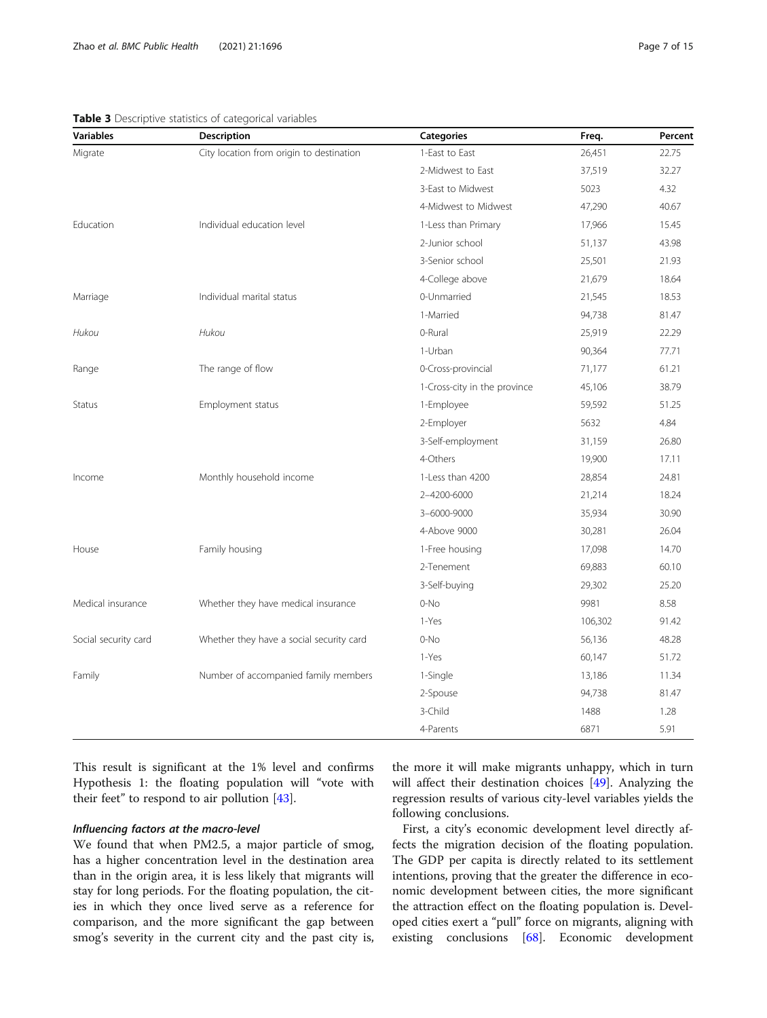#### <span id="page-6-0"></span>Table 3 Descriptive statistics of categorical variables

| Variables     | <b>Description</b>                       | <b>Categories</b>            | Freq.  | Percent |
|---------------|------------------------------------------|------------------------------|--------|---------|
| Migrate       | City location from origin to destination | 1-East to East               | 26,451 | 22.75   |
|               |                                          | 2-Midwest to East            | 37,519 | 32.27   |
|               |                                          | 3-East to Midwest            | 5023   | 4.32    |
|               |                                          | 4-Midwest to Midwest         | 47,290 | 40.67   |
| Education     | Individual education level               | 1-Less than Primary          | 17,966 | 15.45   |
|               |                                          | 2-Junior school              | 51,137 | 43.98   |
|               |                                          | 3-Senior school              | 25,501 | 21.93   |
|               |                                          | 4-College above              | 21,679 | 18.64   |
| Marriage      | Individual marital status                | 0-Unmarried                  | 21,545 | 18.53   |
|               |                                          | 1-Married                    | 94,738 | 81.47   |
| Hukou         | Hukou                                    | 0-Rural                      | 25,919 | 22.29   |
|               |                                          | 1-Urban                      | 90,364 | 77.71   |
| Range         | The range of flow                        | 0-Cross-provincial           | 71,177 | 61.21   |
|               |                                          | 1-Cross-city in the province | 45,106 | 38.79   |
| <b>Status</b> | Employment status                        | 1-Employee                   | 59,592 | 51.25   |
|               |                                          | 2-Employer                   | 5632   | 4.84    |
|               |                                          | 3-Self-employment            | 31,159 | 26.80   |
|               |                                          | 4-Others                     | 19,900 | 17.11   |
| Income        | Monthly household income                 | 1-Less than 4200             | 28.854 | 24.81   |
|               |                                          | 2-4200-6000                  | 21,214 | 18.24   |
|               |                                          | 3-6000-9000                  | 35,934 | 30.90   |
|               |                                          | 4-Above 9000                 | 30,281 | 26.04   |

House 14.70 analy housing 1-Free housing 1-Free housing 17,098 14.70 and 17,098 to 14.70 and 14.70 and 14.70 and 14.70 and 14.70 and 14.70 and 14.70 and 14.70 and 14.70 and 14.70 and 14.70 and 14.70 and 14.70 and 14.70 and

Medical insurance and Whether they have medical insurance of the O-No 9981 9981 8.58

Social security card Whether they have a social security card 0-No 56,136 48.28

Family **13,186** 11.34 Number of accompanied family members 1-Single 11.34 13,186 11.34

This result is significant at the 1% level and confirms Hypothesis 1: the floating population will "vote with their feet" to respond to air pollution [\[43\]](#page-13-0).

We found that when PM2.5, a major particle of smog, has a higher concentration level in the destination area than in the origin area, it is less likely that migrants will stay for long periods. For the floating population, the cities in which they once lived serve as a reference for comparison, and the more significant the gap between smog's severity in the current city and the past city is,

the more it will make migrants unhappy, which in turn will affect their destination choices [[49\]](#page-14-0). Analyzing the regression results of various city-level variables yields the following conclusions.

2-Tenement 69,883 60.10 3-Self-buying 29,302 25.20

1-Yes 106,302 91.42

1-Yes 60,147 51.72

2-Spouse 94,738 81.47 3-Child 1488 1.28 4-Parents 6871 5.91

First, a city's economic development level directly affects the migration decision of the floating population. The GDP per capita is directly related to its settlement intentions, proving that the greater the difference in economic development between cities, the more significant the attraction effect on the floating population is. Developed cities exert a "pull" force on migrants, aligning with existing conclusions [[68](#page-14-0)]. Economic development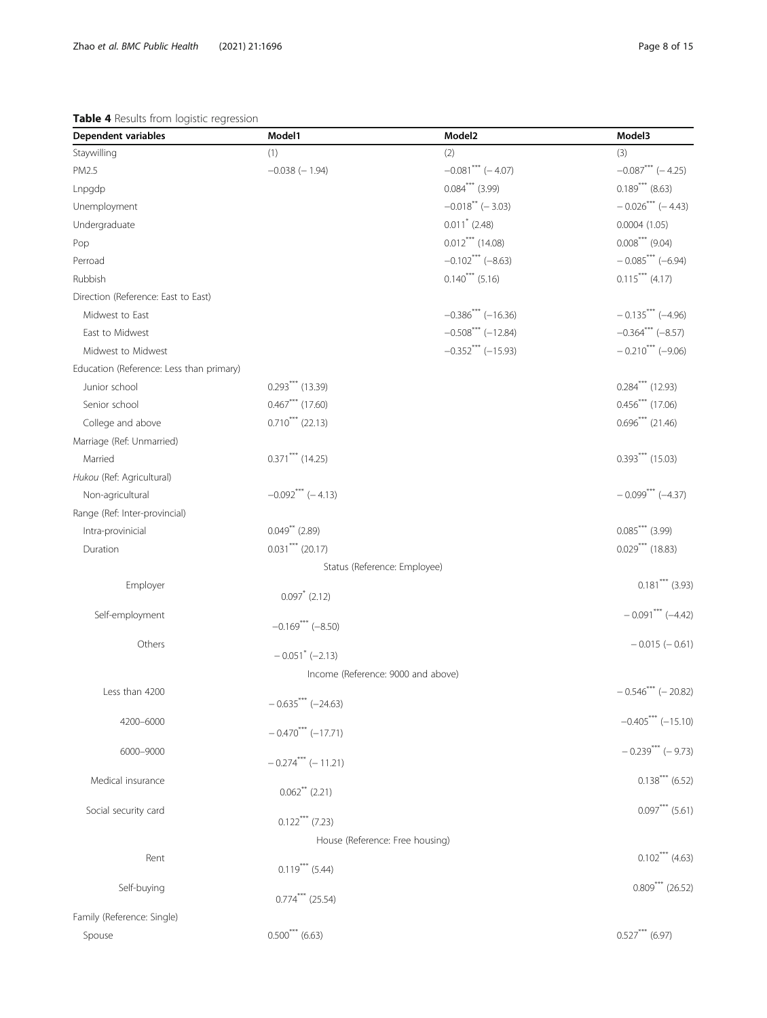## <span id="page-7-0"></span>Table 4 Results from logistic regression

| Dependent variables                      | Model1                             | Model <sub>2</sub>             | Model3                          |
|------------------------------------------|------------------------------------|--------------------------------|---------------------------------|
| Staywilling                              | (1)                                | (2)                            | (3)                             |
| PM2.5                                    | $-0.038$ (-1.94)                   | $-0.081$ *** (-4.07)           | $-0.087***$ (-4.25)             |
| Lnpgdp                                   |                                    | $0.084***$ (3.99)              | $0.189***$ (8.63)               |
| Unemployment                             |                                    | $-0.018$ <sup>**</sup> (-3.03) | $-0.026$ <sup>***</sup> (-4.43) |
| Undergraduate                            |                                    | $0.011^*$ (2.48)               | 0.0004(1.05)                    |
| Pop                                      |                                    | $0.012***$ (14.08)             | $0.008***$ (9.04)               |
| Perroad                                  |                                    | $-0.102$ *** (-8.63)           | $-0.085***(-6.94)$              |
| Rubbish                                  |                                    | $0.140***$ (5.16)              | $0.115***$ (4.17)               |
| Direction (Reference: East to East)      |                                    |                                |                                 |
| Midwest to East                          |                                    | $-0.386***$ (-16.36)           | $-0.135***$ (-4.96)             |
| East to Midwest                          |                                    | $-0.508***$ (-12.84)           | $-0.364***$ $(-8.57)$           |
| Midwest to Midwest                       |                                    | $-0.352***(-15.93)$            | $-0.210$ <sup>***</sup> (-9.06) |
| Education (Reference: Less than primary) |                                    |                                |                                 |
| Junior school                            | $0.293***$ (13.39)                 |                                | $0.284***$ (12.93)              |
| Senior school                            | $0.467***$ (17.60)                 |                                | $0.456***$ (17.06)              |
| College and above                        | $0.710***$ (22.13)                 |                                | $0.696***$ (21.46)              |
| Marriage (Ref: Unmarried)                |                                    |                                |                                 |
| Married                                  | $0.371***$ (14.25)                 |                                | $0.393***$ (15.03)              |
| Hukou (Ref: Agricultural)                |                                    |                                |                                 |
| Non-agricultural                         | $-0.092***(-4.13)$                 |                                | $-0.099***(-4.37)$              |
| Range (Ref: Inter-provincial)            |                                    |                                |                                 |
| Intra-provinicial                        | $0.049$ ** (2.89)                  |                                | $0.085***$ (3.99)               |
| Duration                                 | $0.031***$ (20.17)                 |                                | $0.029***$ (18.83)              |
|                                          | Status (Reference: Employee)       |                                |                                 |
| Employer                                 |                                    |                                | $0.181***$ (3.93)               |
|                                          | $0.097$ <sup>*</sup> (2.12)        |                                |                                 |
| Self-employment                          | $-0.169$ *** (-8.50)               |                                | $-0.091***(-4.42)$              |
| Others                                   |                                    |                                | $-0.015(-0.61)$                 |
|                                          | $-0.051$ <sup>*</sup> (-2.13)      |                                |                                 |
|                                          | Income (Reference: 9000 and above) |                                |                                 |
| Less than 4200                           |                                    |                                | $-0.546***$ (-20.82)            |
|                                          | $-0.635***(-24.63)$                |                                |                                 |
| 4200-6000                                | $-0.470***(-17.71)$                |                                | $-0.405***(-15.10)$             |
| 6000-9000                                |                                    |                                | $-0.239***$ (-9.73)             |
|                                          | $-0.274***$ (-11.21)               |                                |                                 |
| Medical insurance                        |                                    |                                | $0.138***$ (6.52)               |
|                                          | $0.062$ <sup>**</sup> (2.21)       |                                |                                 |
| Social security card                     | $0.122***$ (7.23)                  |                                | $0.097***$ (5.61)               |
|                                          | House (Reference: Free housing)    |                                |                                 |
| Rent                                     |                                    |                                | $0.102***$ (4.63)               |
|                                          | $0.119***$ (5.44)                  |                                |                                 |
| Self-buying                              | $0.774***$ (25.54)                 |                                | $0.809***$ (26.52)              |
|                                          |                                    |                                |                                 |
| Family (Reference: Single)               |                                    |                                |                                 |
| Spouse                                   | $0.500***$ (6.63)                  |                                | $0.527***$ (6.97)               |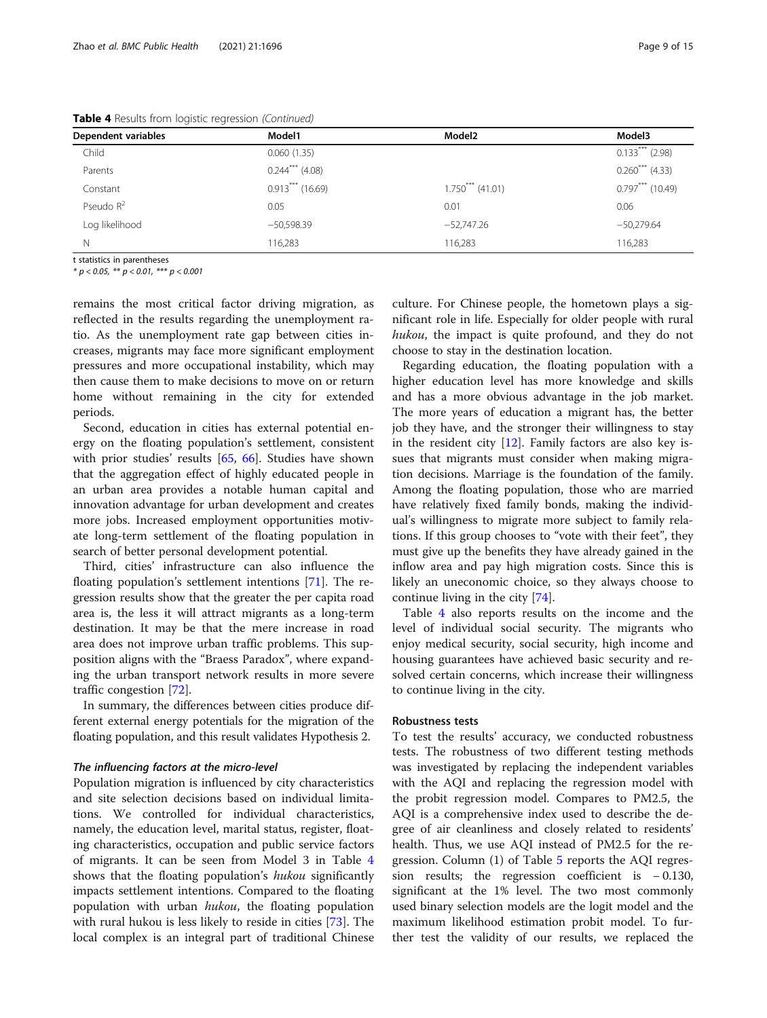| Dependent variables | Model1             | Model <sub>2</sub> | Model3             |
|---------------------|--------------------|--------------------|--------------------|
| Child               | 0.060(1.35)        |                    | $0.133***$ (2.98)  |
| Parents             | $0.244***$ (4.08)  |                    | $0.260***$ (4.33)  |
| Constant            | $0.913***$ (16.69) | $1.750***$ (41.01) | $0.797***$ (10.49) |
| Pseudo $R^2$        | 0.05               | 0.01               | 0.06               |
| Log likelihood      | $-50,598.39$       | $-52,747.26$       | $-50,279.64$       |
| N                   | 116,283            | 116,283            | 116,283            |

Table 4 Results from logistic regression (Continued)

t statistics in parentheses

 $* p < 0.05$ ,  $** p < 0.01$ ,  $*** p < 0.001$ 

remains the most critical factor driving migration, as reflected in the results regarding the unemployment ratio. As the unemployment rate gap between cities increases, migrants may face more significant employment pressures and more occupational instability, which may then cause them to make decisions to move on or return home without remaining in the city for extended periods.

Second, education in cities has external potential energy on the floating population's settlement, consistent with prior studies' results [[65,](#page-14-0) [66\]](#page-14-0). Studies have shown that the aggregation effect of highly educated people in an urban area provides a notable human capital and innovation advantage for urban development and creates more jobs. Increased employment opportunities motivate long-term settlement of the floating population in search of better personal development potential.

Third, cities' infrastructure can also influence the floating population's settlement intentions [[71\]](#page-14-0). The regression results show that the greater the per capita road area is, the less it will attract migrants as a long-term destination. It may be that the mere increase in road area does not improve urban traffic problems. This supposition aligns with the "Braess Paradox", where expanding the urban transport network results in more severe traffic congestion [[72\]](#page-14-0).

In summary, the differences between cities produce different external energy potentials for the migration of the floating population, and this result validates Hypothesis 2.

Population migration is influenced by city characteristics and site selection decisions based on individual limitations. We controlled for individual characteristics, namely, the education level, marital status, register, floating characteristics, occupation and public service factors of migrants. It can be seen from Model 3 in Table [4](#page-7-0) shows that the floating population's hukou significantly impacts settlement intentions. Compared to the floating population with urban *hukou*, the floating population with rural hukou is less likely to reside in cities [\[73](#page-14-0)]. The local complex is an integral part of traditional Chinese

culture. For Chinese people, the hometown plays a significant role in life. Especially for older people with rural hukou, the impact is quite profound, and they do not choose to stay in the destination location.

Regarding education, the floating population with a higher education level has more knowledge and skills and has a more obvious advantage in the job market. The more years of education a migrant has, the better job they have, and the stronger their willingness to stay in the resident city  $[12]$  $[12]$ . Family factors are also key issues that migrants must consider when making migration decisions. Marriage is the foundation of the family. Among the floating population, those who are married have relatively fixed family bonds, making the individual's willingness to migrate more subject to family relations. If this group chooses to "vote with their feet", they must give up the benefits they have already gained in the inflow area and pay high migration costs. Since this is likely an uneconomic choice, so they always choose to continue living in the city [\[74\]](#page-14-0).

Table [4](#page-7-0) also reports results on the income and the level of individual social security. The migrants who enjoy medical security, social security, high income and housing guarantees have achieved basic security and resolved certain concerns, which increase their willingness to continue living in the city.

#### Robustness tests

To test the results' accuracy, we conducted robustness tests. The robustness of two different testing methods was investigated by replacing the independent variables with the AQI and replacing the regression model with the probit regression model. Compares to PM2.5, the AQI is a comprehensive index used to describe the degree of air cleanliness and closely related to residents' health. Thus, we use AQI instead of PM2.5 for the regression. Column (1) of Table [5](#page-9-0) reports the AQI regression results; the regression coefficient is − 0.130, significant at the 1% level. The two most commonly used binary selection models are the logit model and the maximum likelihood estimation probit model. To further test the validity of our results, we replaced the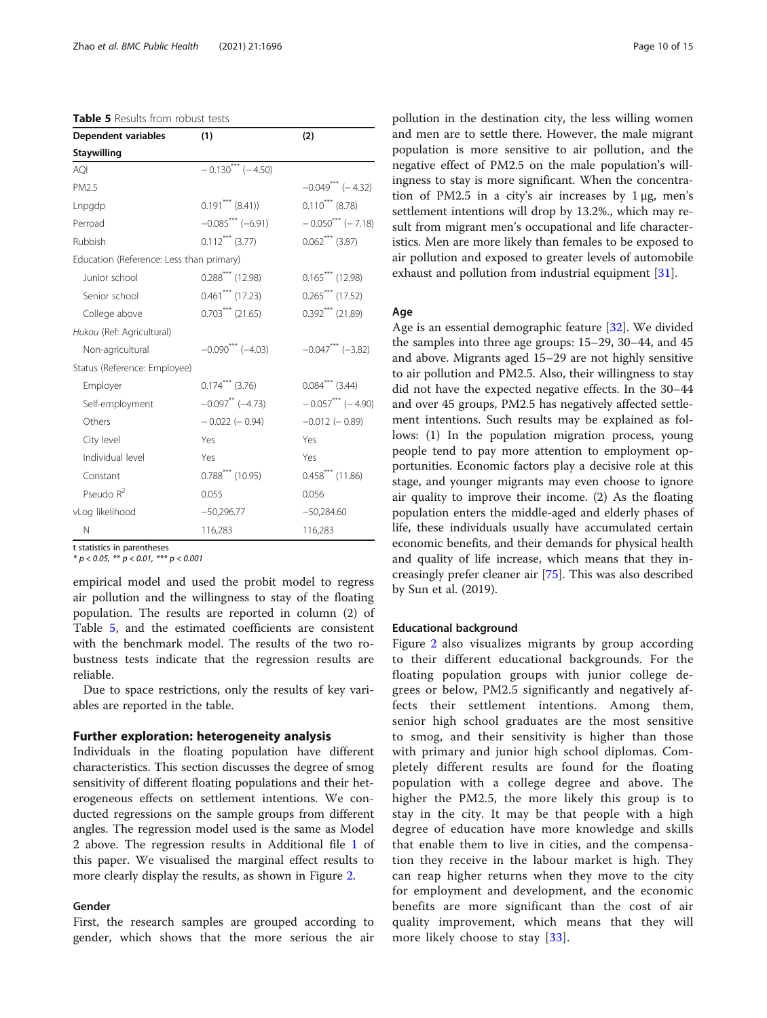<span id="page-9-0"></span>

| <b>Table 5</b> Results from robust tests |  |  |  |  |
|------------------------------------------|--|--|--|--|
|------------------------------------------|--|--|--|--|

| <b>Dependent variables</b>               | (1)                            | (2)                    |
|------------------------------------------|--------------------------------|------------------------|
| <b>Staywilling</b>                       |                                |                        |
| AQI                                      | $-0.130***(-4.50)$             |                        |
| PM2.5                                    |                                | $-0.049*** (-4.32)$    |
| Lnpgdp                                   | $0.191***$ (8.41))             | $0.110***$ (8.78)      |
| Perroad                                  | $-0.085***(-6.91)$             | $-0.050^{***}$ (-7.18) |
| Rubbish                                  | $0.112***$ (3.77)              | $0.062***$ (3.87)      |
| Education (Reference: Less than primary) |                                |                        |
| Junior school                            | $0.288***$ (12.98)             | $0.165***$ (12.98)     |
| Senior school                            | $0.461***$ (17.23)             | $0.265***$ (17.52)     |
| College above                            | $0.703***$ (21.65)             | $0.392***$ (21.89)     |
| Hukou (Ref: Agricultural)                |                                |                        |
| Non-agricultural                         | $-0.090***$ (-4.03)            | $-0.047***$ (-3.82)    |
| Status (Reference: Employee)             |                                |                        |
| Employer                                 | $0.174***$ (3.76)              | $0.084***$ (3.44)      |
| Self-employment                          | $-0.097$ <sup>**</sup> (-4.73) | $-0.057***$ (-4.90)    |
| Others                                   | $-0.022$ ( $-0.94$ )           | $-0.012$ ( $-0.89$ )   |
| City level                               | Yes                            | Yes                    |
| Individual level                         | Yes                            | Yes                    |
| Constant                                 | $0.788***$ (10.95)             | $0.458***$ (11.86)     |
| Pseudo $R^2$                             | 0.055                          | 0.056                  |
| vLog likelihood                          | $-50,296.77$                   | $-50,284.60$           |
| N                                        | 116,283                        | 116,283                |

\* p < 0.05, \*\* p < 0.01, \*\*\* p < 0.001

empirical model and used the probit model to regress air pollution and the willingness to stay of the floating population. The results are reported in column (2) of Table 5, and the estimated coefficients are consistent with the benchmark model. The results of the two robustness tests indicate that the regression results are reliable.

Due to space restrictions, only the results of key variables are reported in the table.

## Further exploration: heterogeneity analysis

Individuals in the floating population have different characteristics. This section discusses the degree of smog sensitivity of different floating populations and their heterogeneous effects on settlement intentions. We conducted regressions on the sample groups from different angles. The regression model used is the same as Model 2 above. The regression results in Additional file [1](#page-12-0) of this paper. We visualised the marginal effect results to more clearly display the results, as shown in Figure [2](#page-10-0).

#### Gender

First, the research samples are grouped according to gender, which shows that the more serious the air pollution in the destination city, the less willing women and men are to settle there. However, the male migrant population is more sensitive to air pollution, and the negative effect of PM2.5 on the male population's willingness to stay is more significant. When the concentration of PM2.5 in a city's air increases by  $1 \mu$ g, men's settlement intentions will drop by 13.2%., which may result from migrant men's occupational and life characteristics. Men are more likely than females to be exposed to air pollution and exposed to greater levels of automobile exhaust and pollution from industrial equipment [\[31\]](#page-13-0).

#### Age

Age is an essential demographic feature [[32](#page-13-0)]. We divided the samples into three age groups: 15–29, 30–44, and 45 and above. Migrants aged 15–29 are not highly sensitive to air pollution and PM2.5. Also, their willingness to stay did not have the expected negative effects. In the 30–44 and over 45 groups, PM2.5 has negatively affected settlement intentions. Such results may be explained as follows: (1) In the population migration process, young people tend to pay more attention to employment opportunities. Economic factors play a decisive role at this stage, and younger migrants may even choose to ignore air quality to improve their income. (2) As the floating population enters the middle-aged and elderly phases of life, these individuals usually have accumulated certain economic benefits, and their demands for physical health and quality of life increase, which means that they increasingly prefer cleaner air [[75\]](#page-14-0). This was also described by Sun et al. (2019).

#### Educational background

Figure [2](#page-10-0) also visualizes migrants by group according to their different educational backgrounds. For the floating population groups with junior college degrees or below, PM2.5 significantly and negatively affects their settlement intentions. Among them, senior high school graduates are the most sensitive to smog, and their sensitivity is higher than those with primary and junior high school diplomas. Completely different results are found for the floating population with a college degree and above. The higher the PM2.5, the more likely this group is to stay in the city. It may be that people with a high degree of education have more knowledge and skills that enable them to live in cities, and the compensation they receive in the labour market is high. They can reap higher returns when they move to the city for employment and development, and the economic benefits are more significant than the cost of air quality improvement, which means that they will more likely choose to stay [[33\]](#page-13-0).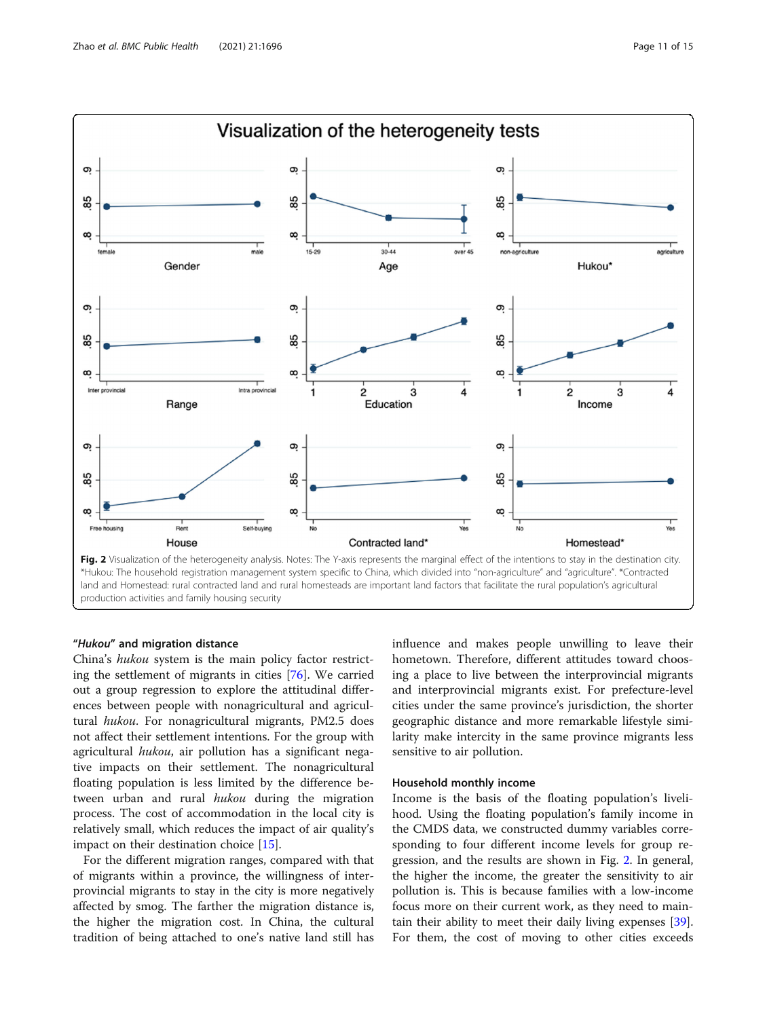<span id="page-10-0"></span>

#### "Hukou" and migration distance

China's hukou system is the main policy factor restricting the settlement of migrants in cities [[76](#page-14-0)]. We carried out a group regression to explore the attitudinal differences between people with nonagricultural and agricultural hukou. For nonagricultural migrants, PM2.5 does not affect their settlement intentions. For the group with agricultural hukou, air pollution has a significant negative impacts on their settlement. The nonagricultural floating population is less limited by the difference between urban and rural hukou during the migration process. The cost of accommodation in the local city is relatively small, which reduces the impact of air quality's impact on their destination choice [[15](#page-13-0)].

For the different migration ranges, compared with that of migrants within a province, the willingness of interprovincial migrants to stay in the city is more negatively affected by smog. The farther the migration distance is, the higher the migration cost. In China, the cultural tradition of being attached to one's native land still has influence and makes people unwilling to leave their hometown. Therefore, different attitudes toward choosing a place to live between the interprovincial migrants and interprovincial migrants exist. For prefecture-level cities under the same province's jurisdiction, the shorter geographic distance and more remarkable lifestyle similarity make intercity in the same province migrants less sensitive to air pollution.

#### Household monthly income

Income is the basis of the floating population's livelihood. Using the floating population's family income in the CMDS data, we constructed dummy variables corresponding to four different income levels for group regression, and the results are shown in Fig. 2. In general, the higher the income, the greater the sensitivity to air pollution is. This is because families with a low-income focus more on their current work, as they need to maintain their ability to meet their daily living expenses [\[39](#page-13-0)]. For them, the cost of moving to other cities exceeds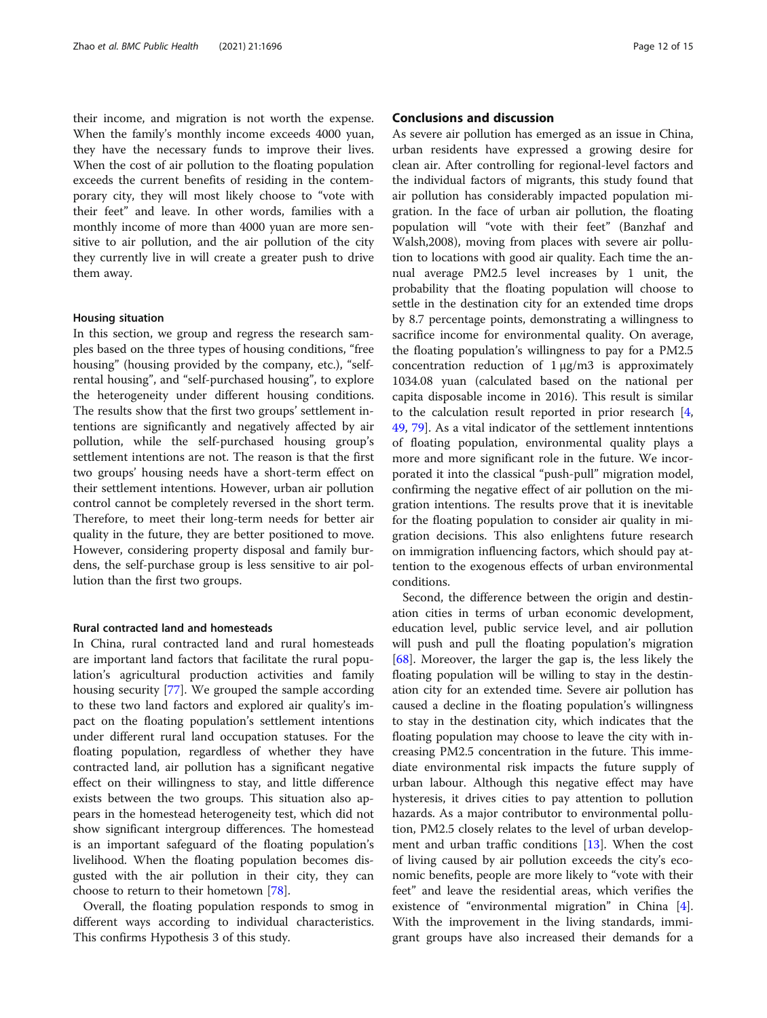their income, and migration is not worth the expense. When the family's monthly income exceeds 4000 yuan, they have the necessary funds to improve their lives. When the cost of air pollution to the floating population exceeds the current benefits of residing in the contemporary city, they will most likely choose to "vote with their feet" and leave. In other words, families with a monthly income of more than 4000 yuan are more sensitive to air pollution, and the air pollution of the city they currently live in will create a greater push to drive them away.

#### Housing situation

In this section, we group and regress the research samples based on the three types of housing conditions, "free housing" (housing provided by the company, etc.), "selfrental housing", and "self-purchased housing", to explore the heterogeneity under different housing conditions. The results show that the first two groups' settlement intentions are significantly and negatively affected by air pollution, while the self-purchased housing group's settlement intentions are not. The reason is that the first two groups' housing needs have a short-term effect on their settlement intentions. However, urban air pollution control cannot be completely reversed in the short term. Therefore, to meet their long-term needs for better air quality in the future, they are better positioned to move. However, considering property disposal and family burdens, the self-purchase group is less sensitive to air pollution than the first two groups.

#### Rural contracted land and homesteads

In China, rural contracted land and rural homesteads are important land factors that facilitate the rural population's agricultural production activities and family housing security [\[77\]](#page-14-0). We grouped the sample according to these two land factors and explored air quality's impact on the floating population's settlement intentions under different rural land occupation statuses. For the floating population, regardless of whether they have contracted land, air pollution has a significant negative effect on their willingness to stay, and little difference exists between the two groups. This situation also appears in the homestead heterogeneity test, which did not show significant intergroup differences. The homestead is an important safeguard of the floating population's livelihood. When the floating population becomes disgusted with the air pollution in their city, they can choose to return to their hometown [[78](#page-14-0)].

Overall, the floating population responds to smog in different ways according to individual characteristics. This confirms Hypothesis 3 of this study.

### Conclusions and discussion

As severe air pollution has emerged as an issue in China, urban residents have expressed a growing desire for clean air. After controlling for regional-level factors and the individual factors of migrants, this study found that air pollution has considerably impacted population migration. In the face of urban air pollution, the floating population will "vote with their feet" (Banzhaf and Walsh,2008), moving from places with severe air pollution to locations with good air quality. Each time the annual average PM2.5 level increases by 1 unit, the probability that the floating population will choose to settle in the destination city for an extended time drops by 8.7 percentage points, demonstrating a willingness to sacrifice income for environmental quality. On average, the floating population's willingness to pay for a PM2.5 concentration reduction of  $1 \mu g/m3$  is approximately 1034.08 yuan (calculated based on the national per capita disposable income in 2016). This result is similar to the calculation result reported in prior research [\[4](#page-13-0), [49,](#page-14-0) [79\]](#page-14-0). As a vital indicator of the settlement inntentions of floating population, environmental quality plays a more and more significant role in the future. We incorporated it into the classical "push-pull" migration model, confirming the negative effect of air pollution on the migration intentions. The results prove that it is inevitable for the floating population to consider air quality in migration decisions. This also enlightens future research on immigration influencing factors, which should pay attention to the exogenous effects of urban environmental conditions.

Second, the difference between the origin and destination cities in terms of urban economic development, education level, public service level, and air pollution will push and pull the floating population's migration [[68\]](#page-14-0). Moreover, the larger the gap is, the less likely the floating population will be willing to stay in the destination city for an extended time. Severe air pollution has caused a decline in the floating population's willingness to stay in the destination city, which indicates that the floating population may choose to leave the city with increasing PM2.5 concentration in the future. This immediate environmental risk impacts the future supply of urban labour. Although this negative effect may have hysteresis, it drives cities to pay attention to pollution hazards. As a major contributor to environmental pollution, PM2.5 closely relates to the level of urban development and urban traffic conditions [\[13\]](#page-13-0). When the cost of living caused by air pollution exceeds the city's economic benefits, people are more likely to "vote with their feet" and leave the residential areas, which verifies the existence of "environmental migration" in China [\[4](#page-13-0)]. With the improvement in the living standards, immigrant groups have also increased their demands for a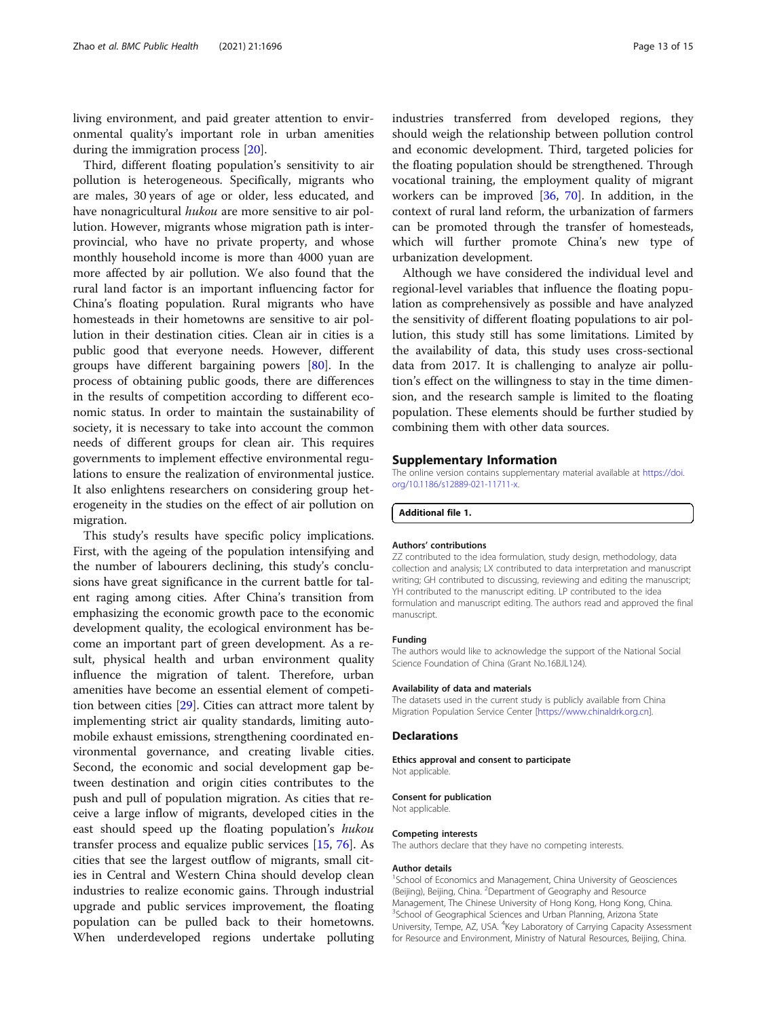<span id="page-12-0"></span>living environment, and paid greater attention to environmental quality's important role in urban amenities during the immigration process [\[20](#page-13-0)].

Third, different floating population's sensitivity to air pollution is heterogeneous. Specifically, migrants who are males, 30 years of age or older, less educated, and have nonagricultural hukou are more sensitive to air pollution. However, migrants whose migration path is interprovincial, who have no private property, and whose monthly household income is more than 4000 yuan are more affected by air pollution. We also found that the rural land factor is an important influencing factor for China's floating population. Rural migrants who have homesteads in their hometowns are sensitive to air pollution in their destination cities. Clean air in cities is a public good that everyone needs. However, different groups have different bargaining powers [\[80\]](#page-14-0). In the process of obtaining public goods, there are differences in the results of competition according to different economic status. In order to maintain the sustainability of society, it is necessary to take into account the common needs of different groups for clean air. This requires governments to implement effective environmental regulations to ensure the realization of environmental justice. It also enlightens researchers on considering group heterogeneity in the studies on the effect of air pollution on migration.

This study's results have specific policy implications. First, with the ageing of the population intensifying and the number of labourers declining, this study's conclusions have great significance in the current battle for talent raging among cities. After China's transition from emphasizing the economic growth pace to the economic development quality, the ecological environment has become an important part of green development. As a result, physical health and urban environment quality influence the migration of talent. Therefore, urban amenities have become an essential element of competition between cities [[29\]](#page-13-0). Cities can attract more talent by implementing strict air quality standards, limiting automobile exhaust emissions, strengthening coordinated environmental governance, and creating livable cities. Second, the economic and social development gap between destination and origin cities contributes to the push and pull of population migration. As cities that receive a large inflow of migrants, developed cities in the east should speed up the floating population's hukou transfer process and equalize public services [\[15,](#page-13-0) [76](#page-14-0)]. As cities that see the largest outflow of migrants, small cities in Central and Western China should develop clean industries to realize economic gains. Through industrial upgrade and public services improvement, the floating population can be pulled back to their hometowns. When underdeveloped regions undertake polluting industries transferred from developed regions, they should weigh the relationship between pollution control and economic development. Third, targeted policies for the floating population should be strengthened. Through vocational training, the employment quality of migrant workers can be improved  $[36, 70]$  $[36, 70]$  $[36, 70]$ . In addition, in the context of rural land reform, the urbanization of farmers can be promoted through the transfer of homesteads, which will further promote China's new type of urbanization development.

Although we have considered the individual level and regional-level variables that influence the floating population as comprehensively as possible and have analyzed the sensitivity of different floating populations to air pollution, this study still has some limitations. Limited by the availability of data, this study uses cross-sectional data from 2017. It is challenging to analyze air pollution's effect on the willingness to stay in the time dimension, and the research sample is limited to the floating population. These elements should be further studied by combining them with other data sources.

#### Supplementary Information

The online version contains supplementary material available at [https://doi.](https://doi.org/10.1186/s12889-021-11711-x) [org/10.1186/s12889-021-11711-x](https://doi.org/10.1186/s12889-021-11711-x).

Additional file 1.

#### Authors' contributions

ZZ contributed to the idea formulation, study design, methodology, data collection and analysis; LX contributed to data interpretation and manuscript writing; GH contributed to discussing, reviewing and editing the manuscript; YH contributed to the manuscript editing. LP contributed to the idea formulation and manuscript editing. The authors read and approved the final manuscript.

#### Funding

The authors would like to acknowledge the support of the National Social Science Foundation of China (Grant No.16BJL124).

#### Availability of data and materials

The datasets used in the current study is publicly available from China Migration Population Service Center [<https://www.chinaldrk.org.cn>].

#### **Declarations**

Not applicable.

Ethics approval and consent to participate

Consent for publication

Not applicable.

#### Competing interests

The authors declare that they have no competing interests.

#### Author details

<sup>1</sup>School of Economics and Management, China University of Geosciences (Beijing), Beijing, China. <sup>2</sup>Department of Geography and Resource Management, The Chinese University of Hong Kong, Hong Kong, China. <sup>3</sup>School of Geographical Sciences and Urban Planning, Arizona State University, Tempe, AZ, USA. <sup>4</sup>Key Laboratory of Carrying Capacity Assessment for Resource and Environment, Ministry of Natural Resources, Beijing, China.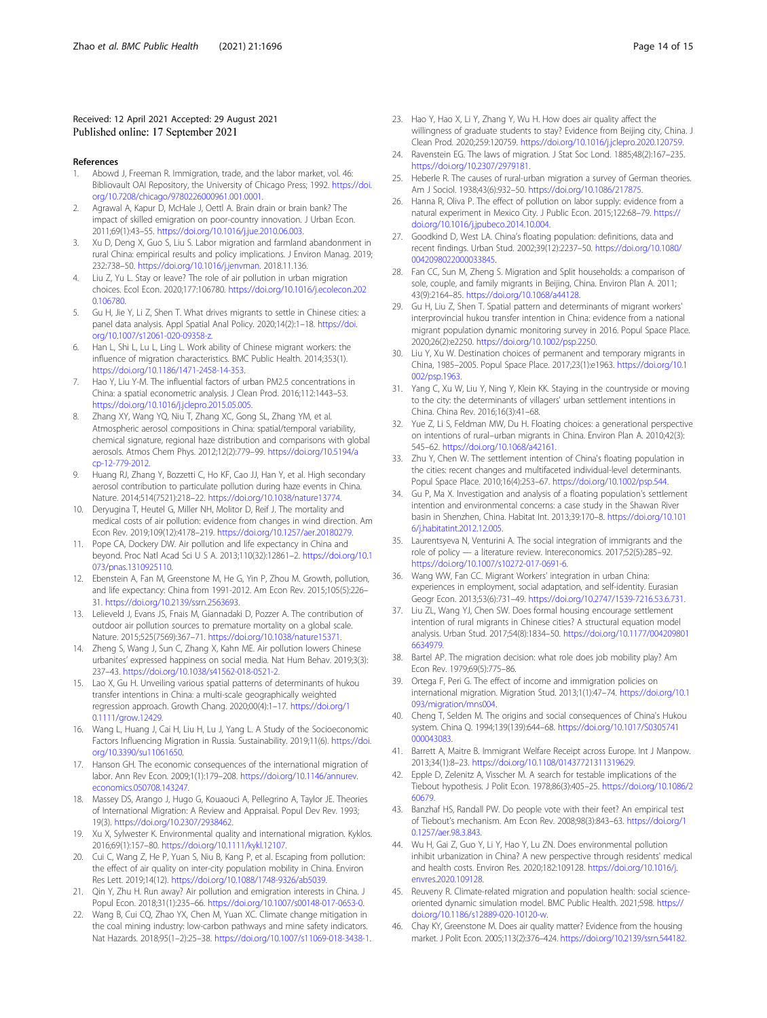#### <span id="page-13-0"></span>Received: 12 April 2021 Accepted: 29 August 2021 Published online: 17 September 2021

#### References

- Abowd J, Freeman R. Immigration, trade, and the labor market, vol. 46: Bibliovault OAI Repository, the University of Chicago Press; 1992. [https://doi.](https://doi.org/10.7208/chicago/9780226000961.001.0001) [org/10.7208/chicago/9780226000961.001.0001](https://doi.org/10.7208/chicago/9780226000961.001.0001).
- Agrawal A, Kapur D, McHale J, Oettl A. Brain drain or brain bank? The impact of skilled emigration on poor-country innovation. J Urban Econ. 2011;69(1):43–55. [https://doi.org/10.1016/j.jue.2010.06.003.](https://doi.org/10.1016/j.jue.2010.06.003)
- Xu D, Deng X, Guo S, Liu S. Labor migration and farmland abandonment in rural China: empirical results and policy implications. J Environ Manag. 2019; 232:738–50. [https://doi.org/10.1016/j.jenvman.](https://doi.org/10.1016/j.jenvman) 2018.11.136.
- 4. Liu Z, Yu L. Stay or leave? The role of air pollution in urban migration choices. Ecol Econ. 2020;177:106780. [https://doi.org/10.1016/j.ecolecon.202](https://doi.org/10.1016/j.ecolecon.2020.106780) [0.106780.](https://doi.org/10.1016/j.ecolecon.2020.106780)
- 5. Gu H, Jie Y, Li Z, Shen T. What drives migrants to settle in Chinese cities: a panel data analysis. Appl Spatial Anal Policy. 2020;14(2):1–18. [https://doi.](https://doi.org/10.1007/s12061-020-09358-z) [org/10.1007/s12061-020-09358-z.](https://doi.org/10.1007/s12061-020-09358-z)
- 6. Han L, Shi L, Lu L, Ling L. Work ability of Chinese migrant workers: the influence of migration characteristics. BMC Public Health. 2014;353(1). [https://doi.org/10.1186/1471-2458-14-353.](https://doi.org/10.1186/1471-2458-14-353)
- 7. Hao Y, Liu Y-M. The influential factors of urban PM2.5 concentrations in China: a spatial econometric analysis. J Clean Prod. 2016;112:1443–53. <https://doi.org/10.1016/j.jclepro.2015.05.005>.
- Zhang XY, Wang YQ, Niu T, Zhang XC, Gong SL, Zhang YM, et al. Atmospheric aerosol compositions in China: spatial/temporal variability, chemical signature, regional haze distribution and comparisons with global aerosols. Atmos Chem Phys. 2012;12(2):779–99. [https://doi.org/10.5194/a](https://doi.org/10.5194/acp-12-779-2012) [cp-12-779-2012.](https://doi.org/10.5194/acp-12-779-2012)
- 9. Huang RJ, Zhang Y, Bozzetti C, Ho KF, Cao JJ, Han Y, et al. High secondary aerosol contribution to particulate pollution during haze events in China. Nature. 2014;514(7521):218–22. <https://doi.org/10.1038/nature13774>.
- 10. Deryugina T, Heutel G, Miller NH, Molitor D, Reif J. The mortality and medical costs of air pollution: evidence from changes in wind direction. Am Econ Rev. 2019;109(12):4178–219. <https://doi.org/10.1257/aer.20180279>.
- 11. Pope CA, Dockery DW. Air pollution and life expectancy in China and beyond. Proc Natl Acad Sci U S A. 2013;110(32):12861–2. [https://doi.org/10.1](https://doi.org/10.1073/pnas.1310925110) [073/pnas.1310925110](https://doi.org/10.1073/pnas.1310925110).
- 12. Ebenstein A, Fan M, Greenstone M, He G, Yin P, Zhou M. Growth, pollution, and life expectancy: China from 1991-2012. Am Econ Rev. 2015;105(5):226– 31. <https://doi.org/10.2139/ssrn.2563693>.
- 13. Lelieveld J, Evans JS, Fnais M, Giannadaki D, Pozzer A. The contribution of outdoor air pollution sources to premature mortality on a global scale. Nature. 2015;525(7569):367–71. <https://doi.org/10.1038/nature15371>.
- 14. Zheng S, Wang J, Sun C, Zhang X, Kahn ME. Air pollution lowers Chinese urbanites' expressed happiness on social media. Nat Hum Behav. 2019;3(3): 237–43. <https://doi.org/10.1038/s41562-018-0521-2>.
- 15. Lao X, Gu H. Unveiling various spatial patterns of determinants of hukou transfer intentions in China: a multi-scale geographically weighted regression approach. Growth Chang. 2020;00(4):1–17. [https://doi.org/1](https://doi.org/10.1111/grow.12429) [0.1111/grow.12429](https://doi.org/10.1111/grow.12429).
- 16. Wang L, Huang J, Cai H, Liu H, Lu J, Yang L. A Study of the Socioeconomic Factors Influencing Migration in Russia. Sustainability. 2019;11(6). [https://doi.](https://doi.org/10.3390/su11061650) [org/10.3390/su11061650.](https://doi.org/10.3390/su11061650)
- 17. Hanson GH. The economic consequences of the international migration of labor. Ann Rev Econ. 2009;1(1):179–208. [https://doi.org/10.1146/annurev.](https://doi.org/10.1146/annurev.economics.050708.143247) [economics.050708.143247.](https://doi.org/10.1146/annurev.economics.050708.143247)
- 18. Massey DS, Arango J, Hugo G, Kouaouci A, Pellegrino A, Taylor JE. Theories of International Migration: A Review and Appraisal. Popul Dev Rev. 1993; 19(3). <https://doi.org/10.2307/2938462>.
- 19. Xu X, Sylwester K. Environmental quality and international migration. Kyklos. 2016;69(1):157–80. [https://doi.org/10.1111/kykl.12107.](https://doi.org/10.1111/kykl.12107)
- 20. Cui C, Wang Z, He P, Yuan S, Niu B, Kang P, et al. Escaping from pollution: the effect of air quality on inter-city population mobility in China. Environ Res Lett. 2019;14(12). [https://doi.org/10.1088/1748-9326/ab5039.](https://doi.org/10.1088/1748-9326/ab5039)
- 21. Qin Y, Zhu H. Run away? Air pollution and emigration interests in China. J Popul Econ. 2018;31(1):235–66. [https://doi.org/10.1007/s00148-017-0653-0.](https://doi.org/10.1007/s00148-017-0653-0)
- 22. Wang B, Cui CQ, Zhao YX, Chen M, Yuan XC. Climate change mitigation in the coal mining industry: low-carbon pathways and mine safety indicators. Nat Hazards. 2018;95(1–2):25–38. <https://doi.org/10.1007/s11069-018-3438-1>.
- 23. Hao Y, Hao X, Li Y, Zhang Y, Wu H. How does air quality affect the willingness of graduate students to stay? Evidence from Beijing city, China. J Clean Prod. 2020;259:120759. <https://doi.org/10.1016/j.jclepro.2020.120759>.
- 24. Ravenstein EG. The laws of migration. J Stat Soc Lond. 1885;48(2):167–235. [https://doi.org/10.2307/2979181.](https://doi.org/10.2307/2979181)
- 25. Heberle R. The causes of rural-urban migration a survey of German theories. Am J Sociol. 1938;43(6):932–50. <https://doi.org/10.1086/217875>.
- 26. Hanna R, Oliva P. The effect of pollution on labor supply: evidence from a natural experiment in Mexico City. J Public Econ. 2015;122:68–79. [https://](https://doi.org/10.1016/j.jpubeco.2014.10.004) [doi.org/10.1016/j.jpubeco.2014.10.004.](https://doi.org/10.1016/j.jpubeco.2014.10.004)
- 27. Goodkind D, West LA. China's floating population: definitions, data and recent findings. Urban Stud. 2002;39(12):2237–50. [https://doi.org/10.1080/](https://doi.org/10.1080/0042098022000033845) [0042098022000033845.](https://doi.org/10.1080/0042098022000033845)
- 28. Fan CC, Sun M, Zheng S. Migration and Split households: a comparison of sole, couple, and family migrants in Beijing, China. Environ Plan A. 2011; 43(9):2164–85. [https://doi.org/10.1068/a44128.](https://doi.org/10.1068/a44128)
- 29. Gu H, Liu Z, Shen T. Spatial pattern and determinants of migrant workers' interprovincial hukou transfer intention in China: evidence from a national migrant population dynamic monitoring survey in 2016. Popul Space Place. 2020;26(2):e2250. <https://doi.org/10.1002/psp.2250>.
- 30. Liu Y, Xu W. Destination choices of permanent and temporary migrants in China, 1985–2005. Popul Space Place. 2017;23(1):e1963. [https://doi.org/10.1](https://doi.org/10.1002/psp.1963) [002/psp.1963.](https://doi.org/10.1002/psp.1963)
- 31. Yang C, Xu W, Liu Y, Ning Y, Klein KK. Staying in the countryside or moving to the city: the determinants of villagers' urban settlement intentions in China. China Rev. 2016;16(3):41–68.
- 32. Yue Z, Li S, Feldman MW, Du H. Floating choices: a generational perspective on intentions of rural–urban migrants in China. Environ Plan A. 2010;42(3): 545–62. <https://doi.org/10.1068/a42161>.
- 33. Zhu Y, Chen W. The settlement intention of China's floating population in the cities: recent changes and multifaceted individual-level determinants. Popul Space Place. 2010;16(4):253–67. <https://doi.org/10.1002/psp.544>.
- 34. Gu P, Ma X. Investigation and analysis of a floating population's settlement intention and environmental concerns: a case study in the Shawan River basin in Shenzhen, China. Habitat Int. 2013;39:170–8. [https://doi.org/10.101](https://doi.org/10.1016/j.habitatint.2012.12.005) [6/j.habitatint.2012.12.005.](https://doi.org/10.1016/j.habitatint.2012.12.005)
- 35. Laurentsyeva N, Venturini A. The social integration of immigrants and the role of policy — a literature review. Intereconomics. 2017;52(5):285–92. <https://doi.org/10.1007/s10272-017-0691-6>.
- 36. Wang WW, Fan CC. Migrant Workers' integration in urban China: experiences in employment, social adaptation, and self-identity. Eurasian Geogr Econ. 2013;53(6):731–49. <https://doi.org/10.2747/1539-7216.53.6.731>.
- 37. Liu ZL, Wang YJ, Chen SW. Does formal housing encourage settlement intention of rural migrants in Chinese cities? A structural equation model analysis. Urban Stud. 2017;54(8):1834–50. [https://doi.org/10.1177/004209801](https://doi.org/10.1177/0042098016634979) [6634979.](https://doi.org/10.1177/0042098016634979)
- Bartel AP. The migration decision: what role does job mobility play? Am Econ Rev. 1979;69(5):775–86.
- 39. Ortega F, Peri G. The effect of income and immigration policies on international migration. Migration Stud. 2013;1(1):47–74. [https://doi.org/10.1](https://doi.org/10.1093/migration/mns004) [093/migration/mns004.](https://doi.org/10.1093/migration/mns004)
- 40. Cheng T, Selden M. The origins and social consequences of China's Hukou system. China Q. 1994;139(139):644–68. [https://doi.org/10.1017/S0305741](https://doi.org/10.1017/S0305741000043083) [000043083](https://doi.org/10.1017/S0305741000043083).
- 41. Barrett A, Maitre B. Immigrant Welfare Receipt across Europe. Int J Manpow. 2013;34(1):8–23. <https://doi.org/10.1108/01437721311319629>.
- 42. Epple D, Zelenitz A, Visscher M. A search for testable implications of the Tiebout hypothesis. J Polit Econ. 1978;86(3):405–25. [https://doi.org/10.1086/2](https://doi.org/10.1086/260679) [60679.](https://doi.org/10.1086/260679)
- 43. Banzhaf HS, Randall PW. Do people vote with their feet? An empirical test of Tiebout's mechanism. Am Econ Rev. 2008;98(3):843–63. [https://doi.org/1](https://doi.org/10.1257/aer.98.3.843) [0.1257/aer.98.3.843](https://doi.org/10.1257/aer.98.3.843).
- 44. Wu H, Gai Z, Guo Y, Li Y, Hao Y, Lu ZN. Does environmental pollution inhibit urbanization in China? A new perspective through residents' medical and health costs. Environ Res. 2020;182:109128. [https://doi.org/10.1016/j.](https://doi.org/10.1016/j.envres.2020.109128) [envres.2020.109128.](https://doi.org/10.1016/j.envres.2020.109128)
- 45. Reuveny R. Climate-related migration and population health: social scienceoriented dynamic simulation model. BMC Public Health. 2021;598. [https://](https://doi.org/10.1186/s12889-020-10120-w) [doi.org/10.1186/s12889-020-10120-w.](https://doi.org/10.1186/s12889-020-10120-w)
- 46. Chay KY, Greenstone M. Does air quality matter? Evidence from the housing market. J Polit Econ. 2005;113(2):376–424. <https://doi.org/10.2139/ssrn.544182>.